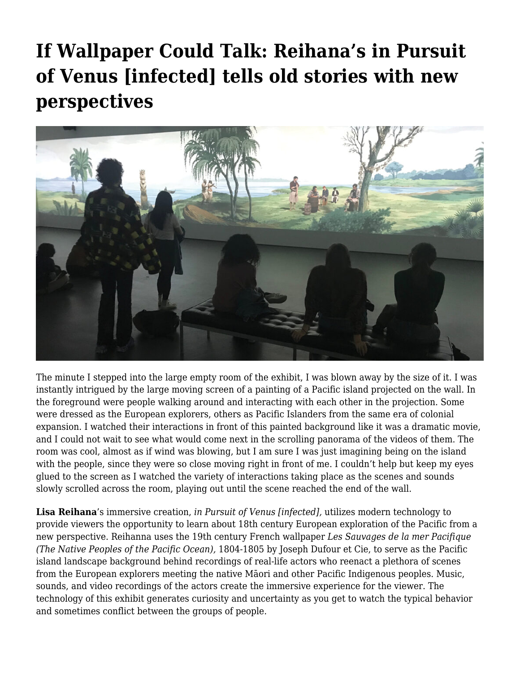## **[If Wallpaper Could Talk: Reihana's in Pursuit](https://motifri.com/if-wallpaper-could-talk/) [of Venus \[infected\] tells old stories with new](https://motifri.com/if-wallpaper-could-talk/) [perspectives](https://motifri.com/if-wallpaper-could-talk/)**



The minute I stepped into the large empty room of the exhibit, I was blown away by the size of it. I was instantly intrigued by the large moving screen of a painting of a Pacific island projected on the wall. In the foreground were people walking around and interacting with each other in the projection. Some were dressed as the European explorers, others as Pacific Islanders from the same era of colonial expansion. I watched their interactions in front of this painted background like it was a dramatic movie, and I could not wait to see what would come next in the scrolling panorama of the videos of them. The room was cool, almost as if wind was blowing, but I am sure I was just imagining being on the island with the people, since they were so close moving right in front of me. I couldn't help but keep my eyes glued to the screen as I watched the variety of interactions taking place as the scenes and sounds slowly scrolled across the room, playing out until the scene reached the end of the wall.

**Lisa Reihana**'s immersive creation, *in Pursuit of Venus [infected],* utilizes modern technology to provide viewers the opportunity to learn about 18th century European exploration of the Pacific from a new perspective. Reihanna uses the 19th century French wallpaper *Les Sauvages de la mer Pacifique (The Native Peoples of the Pacific Ocean),* 1804-1805 by Joseph Dufour et Cie, to serve as the Pacific island landscape background behind recordings of real-life actors who reenact a plethora of scenes from the European explorers meeting the native Māori and other Pacific Indigenous peoples. Music, sounds, and video recordings of the actors create the immersive experience for the viewer. The technology of this exhibit generates curiosity and uncertainty as you get to watch the typical behavior and sometimes conflict between the groups of people.